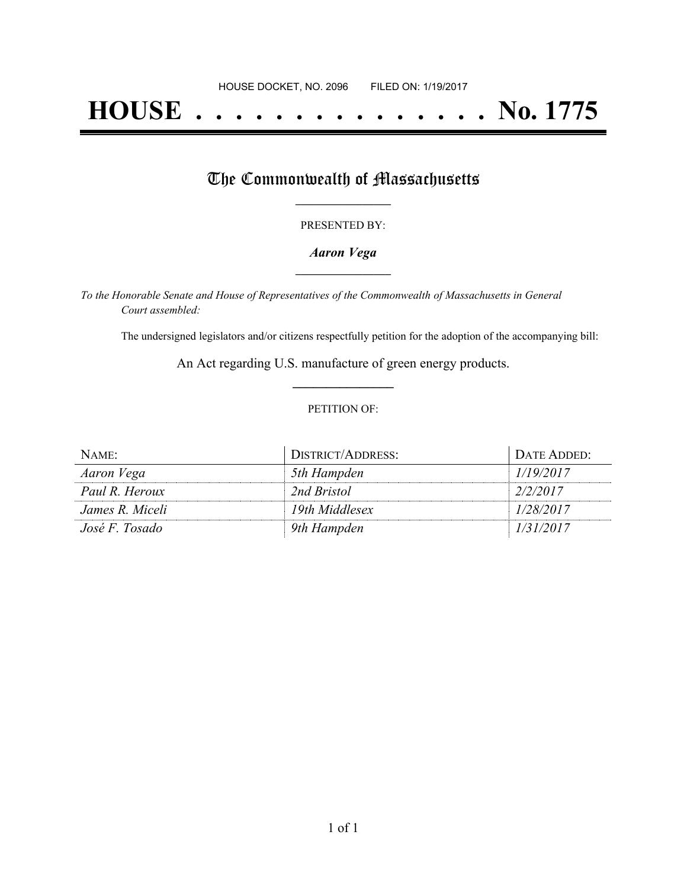# **HOUSE . . . . . . . . . . . . . . . No. 1775**

## The Commonwealth of Massachusetts

#### PRESENTED BY:

#### *Aaron Vega* **\_\_\_\_\_\_\_\_\_\_\_\_\_\_\_\_\_**

*To the Honorable Senate and House of Representatives of the Commonwealth of Massachusetts in General Court assembled:*

The undersigned legislators and/or citizens respectfully petition for the adoption of the accompanying bill:

An Act regarding U.S. manufacture of green energy products. **\_\_\_\_\_\_\_\_\_\_\_\_\_\_\_**

#### PETITION OF:

| NAME:           | DISTRICT/ADDRESS: | DATE ADDED: |
|-----------------|-------------------|-------------|
| Aaron Vega      | 5th Hampden       | 1/19/2017   |
| Paul R. Heroux  | 2nd Bristol       | 2/2/2017    |
| James R. Miceli | 19th Middlesex    | 1/28/2017   |
| José F. Tosado  | 9th Hampden       | 1/31/2017   |